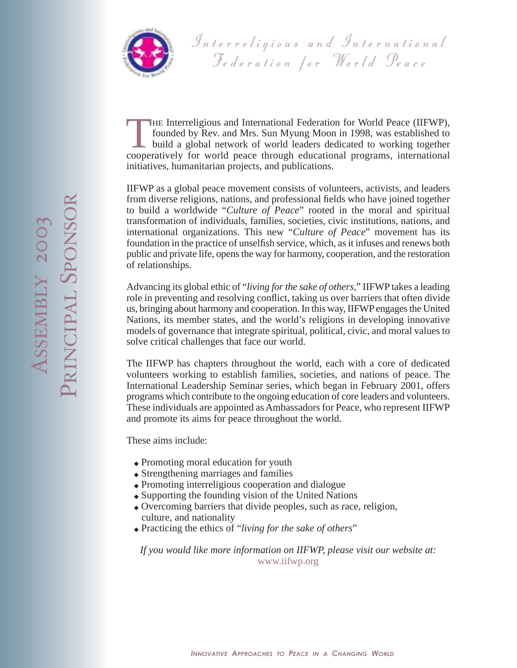

Interreligious and International Federation for World Peace

THE Interreligious and International Federation for World Peace (IIFWP), founded by Rev. and Mrs. Sun Myung Moon in 1998, was established to build a global network of world leaders dedicated to working together cooperative founded by Rev. and Mrs. Sun Myung Moon in 1998, was established to build a global network of world leaders dedicated to working together cooperatively for world peace through educational programs, international initiatives, humanitarian projects, and publications.

IIFWP as a global peace movement consists of volunteers, activists, and leaders from diverse religions, nations, and professional fields who have joined together to build a worldwide "*Culture of Peace*" rooted in the moral and spiritual transformation of individuals, families, societies, civic institutions, nations, and international organizations. This new "*Culture of Peace*" movement has its foundation in the practice of unselfish service, which, as it infuses and renews both public and private life, opens the way for harmony, cooperation, and the restoration of relationships.

Advancing its global ethic of "*living for the sake of others*," IIFWP takes a leading role in preventing and resolving conflict, taking us over barriers that often divide us, bringing about harmony and cooperation. In this way, IIFWP engages the United Nations, its member states, and the world's religions in developing innovative models of governance that integrate spiritual, political, civic, and moral values to solve critical challenges that face our world.

The IIFWP has chapters throughout the world, each with a core of dedicated volunteers working to establish families, societies, and nations of peace. The International Leadership Seminar series, which began in February 2001, offers programs which contribute to the ongoing education of core leaders and volunteers. These individuals are appointed as Ambassadors for Peace, who represent IIFWP and promote its aims for peace throughout the world.

These aims include:

- ◆ Promoting moral education for youth
- ◆ Strengthening marriages and families
- ◆ Promoting interreligious cooperation and dialogue
- ◆ Supporting the founding vision of the United Nations
- ◆ Overcoming barriers that divide peoples, such as race, religion, culture, and nationality
- ◆ Practicing the ethics of "*living for the sake of others*"

*If you would like more information on IIFWP, please visit our website at:* www.iifwp.org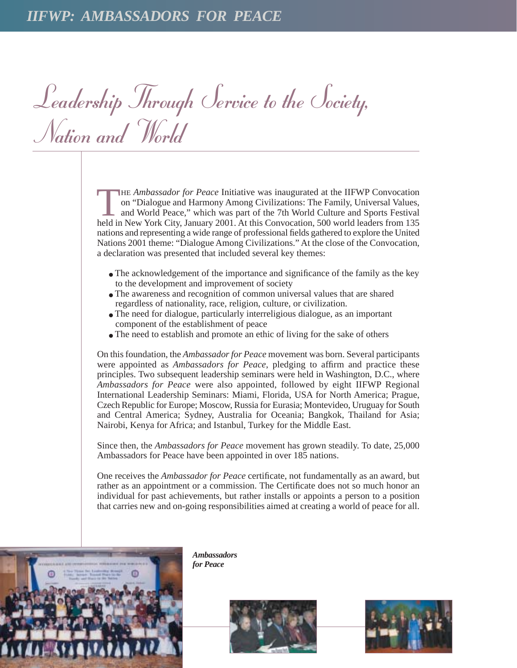Leadership Through Service to the Society, Nation and World

THE *Ambassador for Peace* Initiative was inaugurated at the IIFWP Convocation<br>on "Dialogue and Harmony Among Civilizations: The Family, Universal Values,<br>and World Peace," which was part of the 7th World Culture and Sport on "Dialogue and Harmony Among Civilizations: The Family, Universal Values, and World Peace," which was part of the 7th World Culture and Sports Festival held in New York City, January 2001. At this Convocation, 500 world leaders from 135 nations and representing a wide range of professional fields gathered to explore the United Nations 2001 theme: "Dialogue Among Civilizations." At the close of the Convocation, a declaration was presented that included several key themes:

- The acknowledgement of the importance and significance of the family as the key to the development and improvement of society
- The awareness and recognition of common universal values that are shared regardless of nationality, race, religion, culture, or civilization.
- The need for dialogue, particularly interreligious dialogue, as an important component of the establishment of peace
- The need to establish and promote an ethic of living for the sake of others

On this foundation, the *Ambassador for Peace* movement was born. Several participants were appointed as *Ambassadors for Peace*, pledging to affirm and practice these principles. Two subsequent leadership seminars were held in Washington, D.C., where *Ambassadors for Peace* were also appointed, followed by eight IIFWP Regional International Leadership Seminars: Miami, Florida, USA for North America; Prague, Czech Republic for Europe; Moscow, Russia for Eurasia; Montevideo, Uruguay for South and Central America; Sydney, Australia for Oceania; Bangkok, Thailand for Asia; Nairobi, Kenya for Africa; and Istanbul, Turkey for the Middle East.

Since then, the *Ambassadors for Peace* movement has grown steadily. To date, 25,000 Ambassadors for Peace have been appointed in over 185 nations.

One receives the *Ambassador for Peace* certificate, not fundamentally as an award, but rather as an appointment or a commission. The Certificate does not so much honor an individual for past achievements, but rather installs or appoints a person to a position that carries new and on-going responsibilities aimed at creating a world of peace for all.



*Ambassadors for Peace*



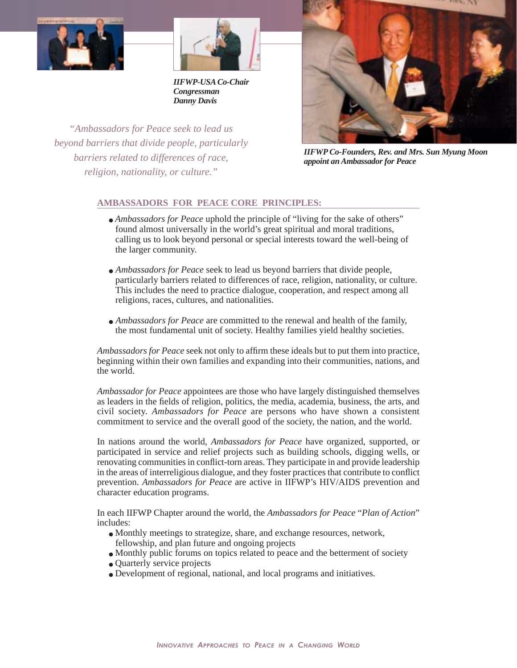



*IIFWP-USA Co-Chair Congressman Danny Davis*

*"Ambassadors for Peace seek to lead us beyond barriers that divide people, particularly barriers related to differences of race, religion, nationality, or culture."*



*IIFWP Co-Founders, Rev. and Mrs. Sun Myung Moon appoint an Ambassador for Peace*

## **AMBASSADORS FOR PEACE CORE PRINCIPLES:**

- *Ambassadors for Peace* uphold the principle of "living for the sake of others" found almost universally in the world's great spiritual and moral traditions, calling us to look beyond personal or special interests toward the well-being of the larger community.
- *Ambassadors for Peace* seek to lead us beyond barriers that divide people, particularly barriers related to differences of race, religion, nationality, or culture. This includes the need to practice dialogue, cooperation, and respect among all religions, races, cultures, and nationalities.
- *Ambassadors for Peace* are committed to the renewal and health of the family, the most fundamental unit of society. Healthy families yield healthy societies.

*Ambassadors for Peace* seek not only to affirm these ideals but to put them into practice, beginning within their own families and expanding into their communities, nations, and the world.

*Ambassador for Peace* appointees are those who have largely distinguished themselves as leaders in the fields of religion, politics, the media, academia, business, the arts, and civil society. *Ambassadors for Peace* are persons who have shown a consistent commitment to service and the overall good of the society, the nation, and the world.

In nations around the world, *Ambassadors for Peace* have organized, supported, or participated in service and relief projects such as building schools, digging wells, or renovating communities in conflict-torn areas. They participate in and provide leadership in the areas of interreligious dialogue, and they foster practices that contribute to conflict prevention. *Ambassadors for Peace* are active in IIFWP's HIV/AIDS prevention and character education programs.

In each IIFWP Chapter around the world, the *Ambassadors for Peace* "*Plan of Action*" includes:

- Monthly meetings to strategize, share, and exchange resources, network, fellowship, and plan future and ongoing projects
- Monthly public forums on topics related to peace and the betterment of society
- Quarterly service projects
- Development of regional, national, and local programs and initiatives.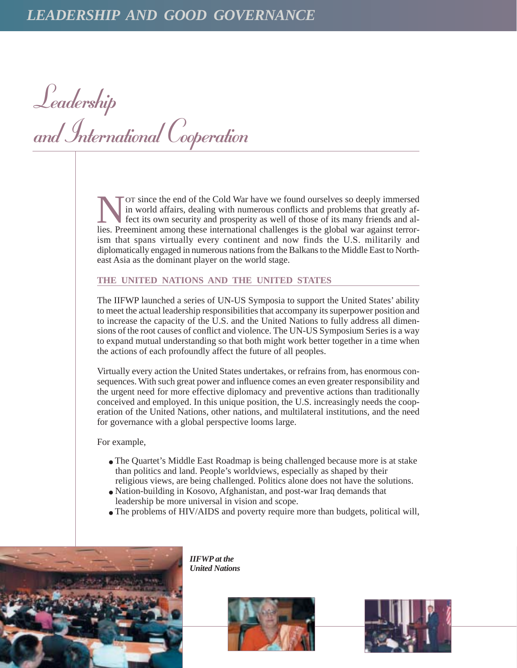Leadership and International Cooperation

Tor since the end of the Cold War have we found ourselves so deeply immersed in world affairs, dealing with numerous conflicts and problems that greatly affect its own security and prosperity as well of those of its many friends and allies. Preeminent among these international challenges is the global war against terrorism that spans virtually every continent and now finds the U.S. militarily and diplomatically engaged in numerous nations from the Balkans to the Middle East to Northeast Asia as the dominant player on the world stage.

## **THE UNITED NATIONS AND THE UNITED STATES**

The IIFWP launched a series of UN-US Symposia to support the United States' ability to meet the actual leadership responsibilities that accompany its superpower position and to increase the capacity of the U.S. and the United Nations to fully address all dimensions of the root causes of conflict and violence. The UN-US Symposium Series is a way to expand mutual understanding so that both might work better together in a time when the actions of each profoundly affect the future of all peoples.

Virtually every action the United States undertakes, or refrains from, has enormous consequences. With such great power and influence comes an even greater responsibility and the urgent need for more effective diplomacy and preventive actions than traditionally conceived and employed. In this unique position, the U.S. increasingly needs the cooperation of the United Nations, other nations, and multilateral institutions, and the need for governance with a global perspective looms large.

For example,

- The Quartet's Middle East Roadmap is being challenged because more is at stake than politics and land. People's worldviews, especially as shaped by their religious views, are being challenged. Politics alone does not have the solutions.
- Nation-building in Kosovo, Afghanistan, and post-war Iraq demands that leadership be more universal in vision and scope.
- The problems of HIV/AIDS and poverty require more than budgets, political will,



*IIFWP at the United Nations*



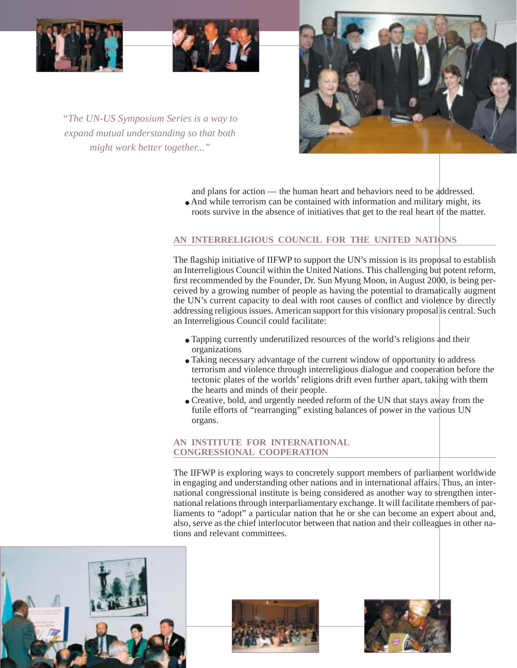





*"The UN-US Symposium Series is a way to expand mutual understanding so that both might work better together..."*

and plans for action — the human heart and behaviors need to be addressed.

• And while terrorism can be contained with information and military might, its roots survive in the absence of initiatives that get to the real heart of the matter.

# **AN INTERRELIGIOUS COUNCIL FOR THE UNITED NATIONS**

The flagship initiative of IIFWP to support the UN's mission is its proposal to establish an Interreligious Council within the United Nations. This challenging but potent reform, first recommended by the Founder, Dr. Sun Myung Moon, in August 2000, is being perceived by a growing number of people as having the potential to dramatically augment the UN's current capacity to deal with root causes of conflict and violence by directly addressing religious issues. American support for this visionary proposal is central. Such an Interreligious Council could facilitate:

- Tapping currently underutilized resources of the world's religions and their organizations
- Taking necessary advantage of the current window of opportunity to address terrorism and violence through interreligious dialogue and cooperation before the tectonic plates of the worlds' religions drift even further apart, taking with them the hearts and minds of their people.
- Creative, bold, and urgently needed reform of the UN that stays away from the futile efforts of "rearranging" existing balances of power in the various UN organs.

## **AN INSTITUTE FOR INTERNATIONAL CONGRESSIONAL COOPERATION**

The IIFWP is exploring ways to concretely support members of parliament worldwide in engaging and understanding other nations and in international affairs. Thus, an international congressional institute is being considered as another way to strengthen international relations through interparliamentary exchange. It will facilitate members of parliaments to "adopt" a particular nation that he or she can become an expert about and, also, serve as the chief interlocutor between that nation and their colleagues in other nations and relevant committees.





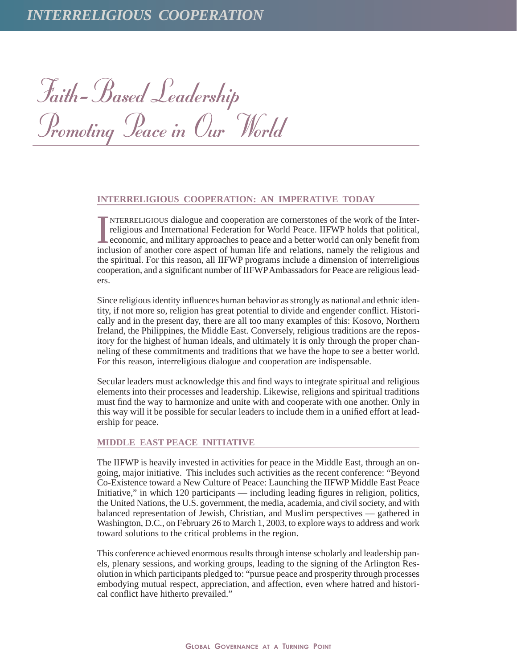Faith-Based Leadership Promoting Peace in Our World

#### **INTERRELIGIOUS COOPERATION: AN IMPERATIVE TODAY**

IMTERRELIGIOUS dialogue and cooperation are cornerstones of the work of the Inter-<br>religious and International Federation for World Peace. IIFWP holds that political,<br>economic, and military approaches to peace and a better NTERRELIGIOUS dialogue and cooperation are cornerstones of the work of the Interreligious and International Federation for World Peace. IIFWP holds that political, economic, and military approaches to peace and a better world can only benefit from the spiritual. For this reason, all IIFWP programs include a dimension of interreligious cooperation, and a significant number of IIFWPAmbassadors for Peace are religious leaders.

Since religious identity influences human behavior as strongly as national and ethnic identity, if not more so, religion has great potential to divide and engender conflict. Historically and in the present day, there are all too many examples of this: Kosovo, Northern Ireland, the Philippines, the Middle East. Conversely, religious traditions are the repository for the highest of human ideals, and ultimately it is only through the proper channeling of these commitments and traditions that we have the hope to see a better world. For this reason, interreligious dialogue and cooperation are indispensable.

Secular leaders must acknowledge this and find ways to integrate spiritual and religious elements into their processes and leadership. Likewise, religions and spiritual traditions must find the way to harmonize and unite with and cooperate with one another. Only in this way will it be possible for secular leaders to include them in a unified effort at leadership for peace.

#### **MIDDLE EAST PEACE INITIATIVE**

The IIFWP is heavily invested in activities for peace in the Middle East, through an ongoing, major initiative. This includes such activities as the recent conference: "Beyond Co-Existence toward a New Culture of Peace: Launching the IIFWP Middle East Peace Initiative," in which 120 participants — including leading figures in religion, politics, the United Nations, the U.S. government, the media, academia, and civil society, and with balanced representation of Jewish, Christian, and Muslim perspectives — gathered in Washington, D.C., on February 26 to March 1, 2003, to explore ways to address and work toward solutions to the critical problems in the region.

This conference achieved enormous results through intense scholarly and leadership panels, plenary sessions, and working groups, leading to the signing of the Arlington Resolution in which participants pledged to: "pursue peace and prosperity through processes embodying mutual respect, appreciation, and affection, even where hatred and historical conflict have hitherto prevailed."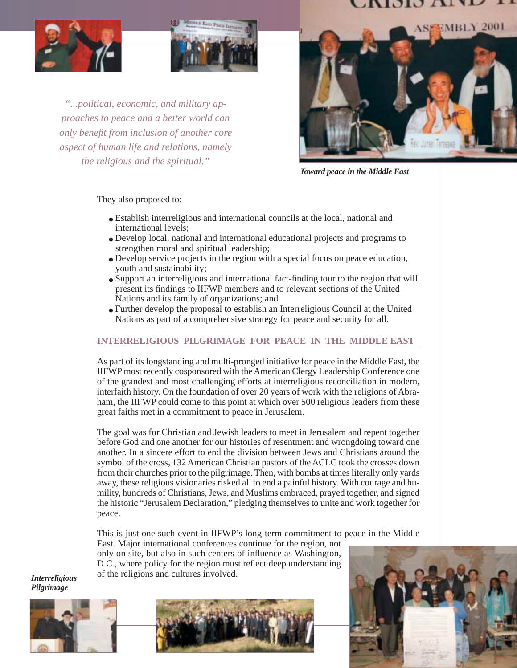# NOIO ATT





*"...political, economic, and military approaches to peace and a better world can only benefit from inclusion of another core aspect of human life and relations, namely the religious and the spiritual."*



*Toward peace in the Middle East*

They also proposed to:

- Establish interreligious and international councils at the local, national and international levels;
- Develop local, national and international educational projects and programs to strengthen moral and spiritual leadership;
- Develop service projects in the region with a special focus on peace education, youth and sustainability;
- Support an interreligious and international fact-finding tour to the region that will present its findings to IIFWP members and to relevant sections of the United Nations and its family of organizations; and
- Further develop the proposal to establish an Interreligious Council at the United Nations as part of a comprehensive strategy for peace and security for all.

# **INTERRELIGIOUS PILGRIMAGE FOR PEACE IN THE MIDDLE EAST**

As part of its longstanding and multi-pronged initiative for peace in the Middle East, the IIFWP most recently cosponsored with the American Clergy Leadership Conference one of the grandest and most challenging efforts at interreligious reconciliation in modern, interfaith history. On the foundation of over 20 years of work with the religions of Abraham, the IIFWP could come to this point at which over 500 religious leaders from these great faiths met in a commitment to peace in Jerusalem.

The goal was for Christian and Jewish leaders to meet in Jerusalem and repent together before God and one another for our histories of resentment and wrongdoing toward one another. In a sincere effort to end the division between Jews and Christians around the symbol of the cross, 132 American Christian pastors of the ACLC took the crosses down from their churches prior to the pilgrimage. Then, with bombs at times literally only yards away, these religious visionaries risked all to end a painful history. With courage and humility, hundreds of Christians, Jews, and Muslims embraced, prayed together, and signed the historic "Jerusalem Declaration," pledging themselves to unite and work together for peace.

This is just one such event in IIFWP's long-term commitment to peace in the Middle

East. Major international conferences continue for the region, not only on site, but also in such centers of influence as Washington, D.C., where policy for the region must reflect deep understanding of the religions and cultures involved.

*Interreligious Pilgrimage*





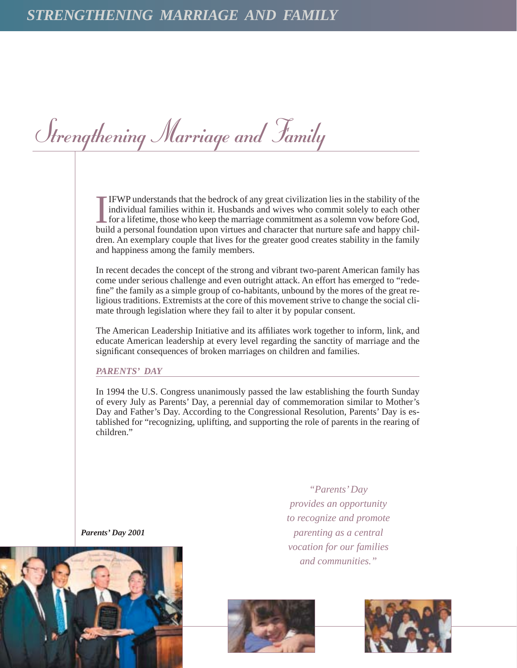Strengthening Marriage and Family

**IFWP** understands that the bedrock of any great civilization lies in the stability of the individual families within it. Husbands and wives who commit solely to each other for a lifetime, those who keep the marriage commi IFWP understands that the bedrock of any great civilization lies in the stability of the individual families within it. Husbands and wives who commit solely to each other **Let the lifetime, those who keep the marriage commitment as a solemn vow before God,** dren. An exemplary couple that lives for the greater good creates stability in the family and happiness among the family members.

In recent decades the concept of the strong and vibrant two-parent American family has come under serious challenge and even outright attack. An effort has emerged to "redefine" the family as a simple group of co-habitants, unbound by the mores of the great religious traditions. Extremists at the core of this movement strive to change the social climate through legislation where they fail to alter it by popular consent.

The American Leadership Initiative and its affiliates work together to inform, link, and educate American leadership at every level regarding the sanctity of marriage and the significant consequences of broken marriages on children and families.

## *PARENTS' DAY*

In 1994 the U.S. Congress unanimously passed the law establishing the fourth Sunday of every July as Parents' Day, a perennial day of commemoration similar to Mother's Day and Father's Day. According to the Congressional Resolution, Parents' Day is established for "recognizing, uplifting, and supporting the role of parents in the rearing of children."

*Parents' Day 2001*



*"Parents' Day provides an opportunity to recognize and promote parenting as a central vocation for our families and communities."*



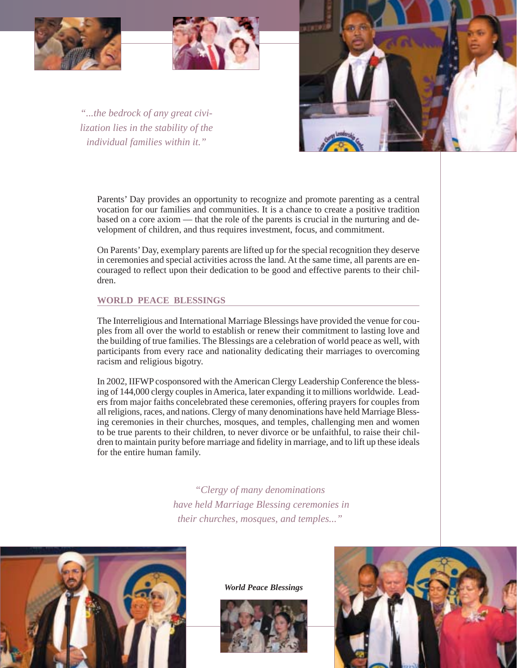



*"...the bedrock of any great civilization lies in the stability of the individual families within it."*



Parents' Day provides an opportunity to recognize and promote parenting as a central vocation for our families and communities. It is a chance to create a positive tradition based on a core axiom — that the role of the parents is crucial in the nurturing and development of children, and thus requires investment, focus, and commitment.

On Parents'Day, exemplary parents are lifted up for the special recognition they deserve in ceremonies and special activities across the land. At the same time, all parents are encouraged to reflect upon their dedication to be good and effective parents to their children.

## **WORLD PEACE BLESSINGS**

The Interreligious and International Marriage Blessings have provided the venue for couples from all over the world to establish or renew their commitment to lasting love and the building of true families. The Blessings are a celebration of world peace as well, with participants from every race and nationality dedicating their marriages to overcoming racism and religious bigotry.

In 2002, IIFWP cosponsored with the American Clergy Leadership Conference the blessing of 144,000 clergy couples in America, later expanding it to millions worldwide. Leaders from major faiths concelebrated these ceremonies, offering prayers for couples from all religions, races, and nations. Clergy of many denominations have held Marriage Blessing ceremonies in their churches, mosques, and temples, challenging men and women to be true parents to their children, to never divorce or be unfaithful, to raise their children to maintain purity before marriage and fidelity in marriage, and to lift up these ideals for the entire human family.

> *"Clergy of many denominations have held Marriage Blessing ceremonies in their churches, mosques, and temples..."*



*World Peace Blessings*



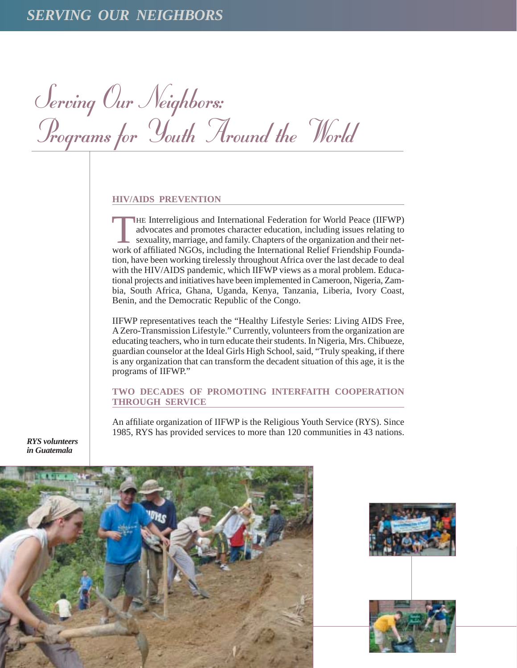Serving Our Neighbors: Programs for Youth Around the World

#### **HIV/AIDS PREVENTION**

THE Interreligious and International Federation for World Peace (IIFWP) advocates and promotes character education, including issues relating to sexuality, marriage, and family. Chapters of the organization and their network of affiliated NGOs, including the International Relief Friendship Foundation, have been working tirelessly throughout Africa over the last decade to deal with the HIV/AIDS pandemic, which IIFWP views as a moral problem. Educational projects and initiatives have been implemented in Cameroon, Nigeria, Zambia, South Africa, Ghana, Uganda, Kenya, Tanzania, Liberia, Ivory Coast, Benin, and the Democratic Republic of the Congo.

IIFWP representatives teach the "Healthy Lifestyle Series: Living AIDS Free, A Zero-Transmission Lifestyle." Currently, volunteers from the organization are educating teachers, who in turn educate their students. In Nigeria, Mrs. Chibueze, guardian counselor at the Ideal Girls High School, said, "Truly speaking, if there is any organization that can transform the decadent situation of this age, it is the programs of IIFWP."

## **TWO DECADES OF PROMOTING INTERFAITH COOPERATION THROUGH SERVICE**

An affiliate organization of IIFWP is the Religious Youth Service (RYS). Since 1985, RYS has provided services to more than 120 communities in 43 nations.

*RYS volunteers in Guatemala*



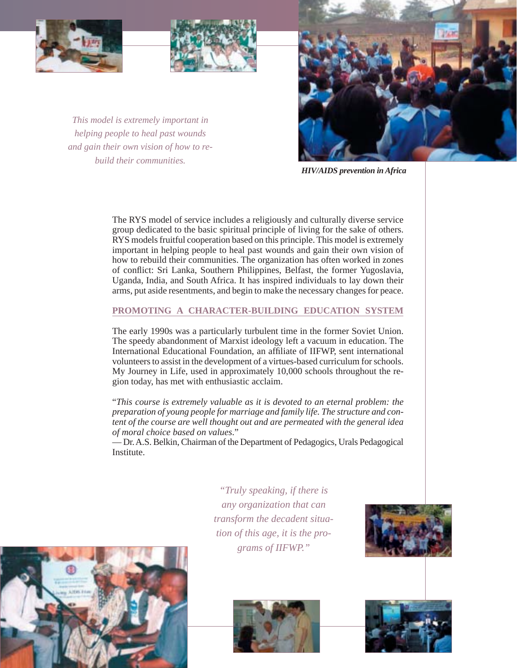



*This model is extremely important in helping people to heal past wounds and gain their own vision of how to rebuild their communities.*



*HIV/AIDS prevention in Africa*

The RYS model of service includes a religiously and culturally diverse service group dedicated to the basic spiritual principle of living for the sake of others. RYS models fruitful cooperation based on this principle. This model is extremely important in helping people to heal past wounds and gain their own vision of how to rebuild their communities. The organization has often worked in zones of conflict: Sri Lanka, Southern Philippines, Belfast, the former Yugoslavia, Uganda, India, and South Africa. It has inspired individuals to lay down their arms, put aside resentments, and begin to make the necessary changes for peace.

## **PROMOTING A CHARACTER-BUILDING EDUCATION SYSTEM**

The early 1990s was a particularly turbulent time in the former Soviet Union. The speedy abandonment of Marxist ideology left a vacuum in education. The International Educational Foundation, an affiliate of IIFWP, sent international volunteers to assist in the development of a virtues-based curriculum for schools. My Journey in Life, used in approximately 10,000 schools throughout the region today, has met with enthusiastic acclaim.

"*This course is extremely valuable as it is devoted to an eternal problem: the preparation of young people for marriage and family life. The structure and content of the course are well thought out and are permeated with the general idea of moral choice based on values*."

— Dr. A.S. Belkin, Chairman of the Department of Pedagogics, Urals Pedagogical Institute.

> *"Truly speaking, if there is any organization that can transform the decadent situation of this age, it is the programs of IIFWP."*